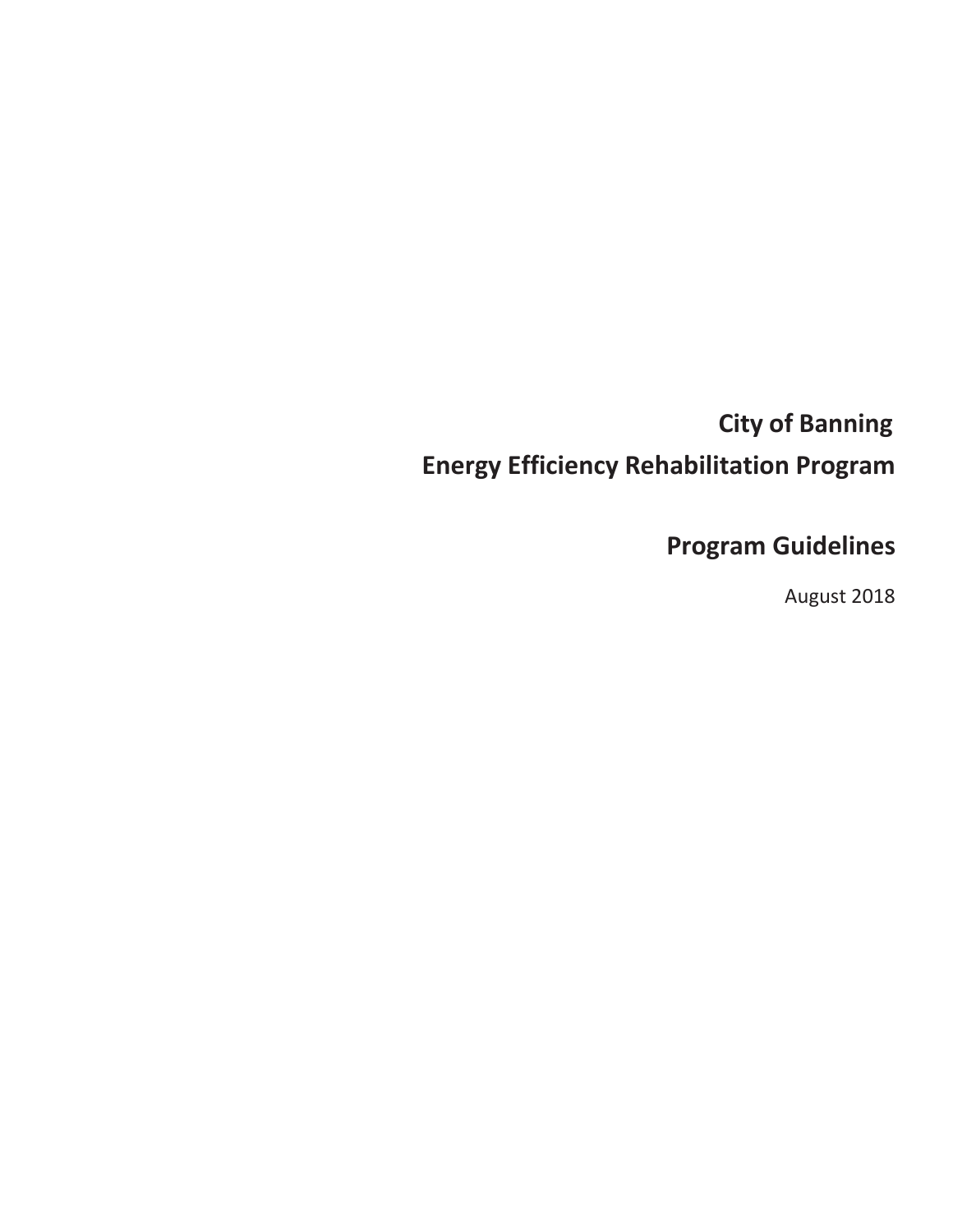# **City of Banning Energy Efficiency Rehabilitation Program**

# **Program Guidelines**

August 2018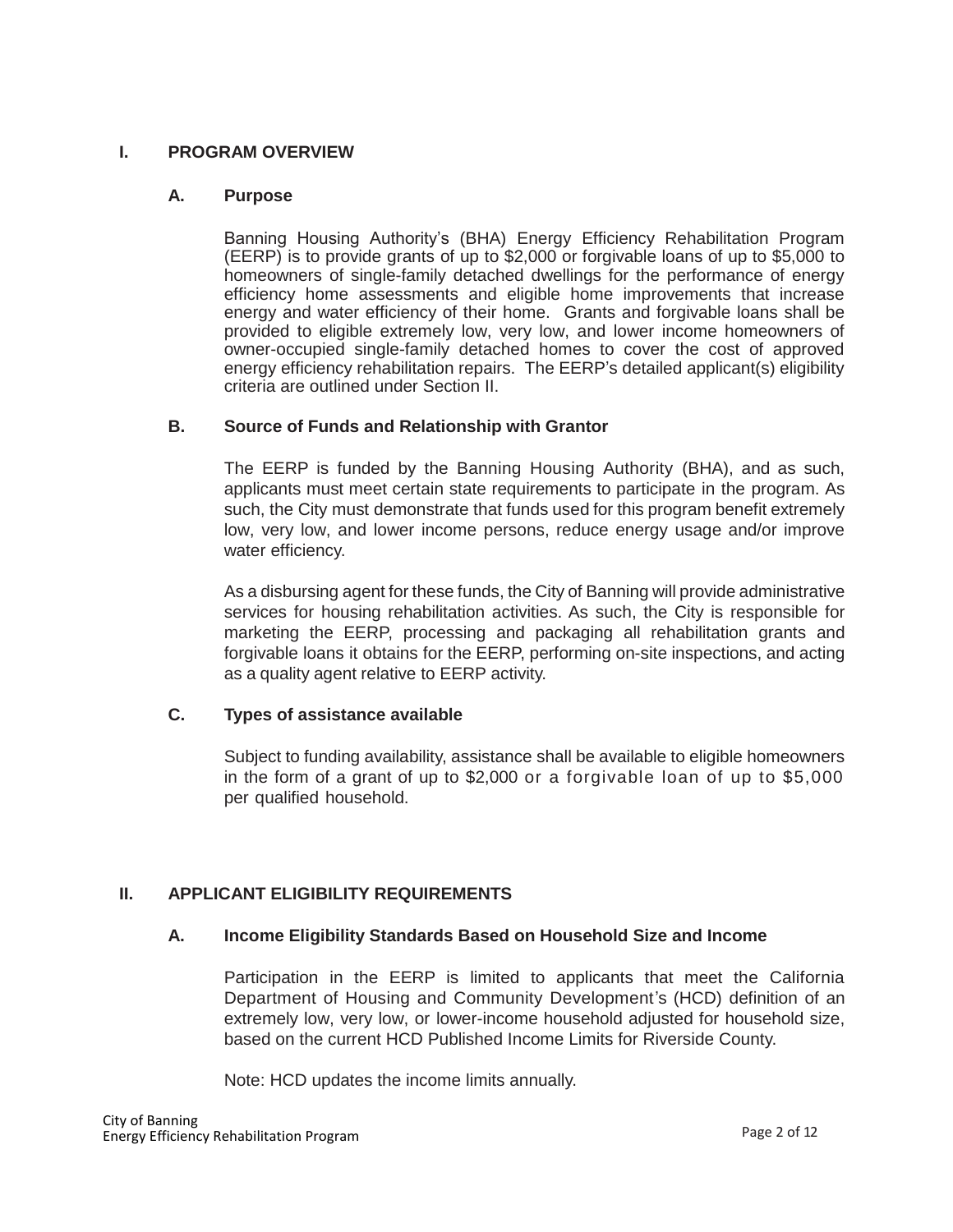## **I. PROGRAM OVERVIEW**

## **A. Purpose**

Banning Housing Authority's (BHA) Energy Efficiency Rehabilitation Program (EERP) is to provide grants of up to \$2,000 or forgivable loans of up to \$5,000 to homeowners of single-family detached dwellings for the performance of energy efficiency home assessments and eligible home improvements that increase energy and water efficiency of their home. Grants and forgivable loans shall be provided to eligible extremely low, very low, and lower income homeowners of owner-occupied single-family detached homes to cover the cost of approved energy efficiency rehabilitation repairs. The EERP's detailed applicant(s) eligibility criteria are outlined under Section II.

## **B. Source of Funds and Relationship with Grantor**

The EERP is funded by the Banning Housing Authority (BHA), and as such, applicants must meet certain state requirements to participate in the program. As such, the City must demonstrate that funds used for this program benefit extremely low, very low, and lower income persons, reduce energy usage and/or improve water efficiency.

As a disbursing agent for these funds, the City of Banning will provide administrative services for housing rehabilitation activities. As such, the City is responsible for marketing the EERP, processing and packaging all rehabilitation grants and forgivable loans it obtains for the EERP, performing on-site inspections, and acting as a quality agent relative to EERP activity.

# **C. Types of assistance available**

Subject to funding availability, assistance shall be available to eligible homeowners in the form of a grant of up to \$2,000 or a forgivable loan of up to \$5,000 per qualified household.

# **II. APPLICANT ELIGIBILITY REQUIREMENTS**

# **A. Income Eligibility Standards Based on Household Size and Income**

Participation in the EERP is limited to applicants that meet the California Department of Housing and Community Development's (HCD) definition of an extremely low, very low, or lower-income household adjusted for household size, based on the current HCD Published Income Limits for Riverside County.

Note: HCD updates the income limits annually.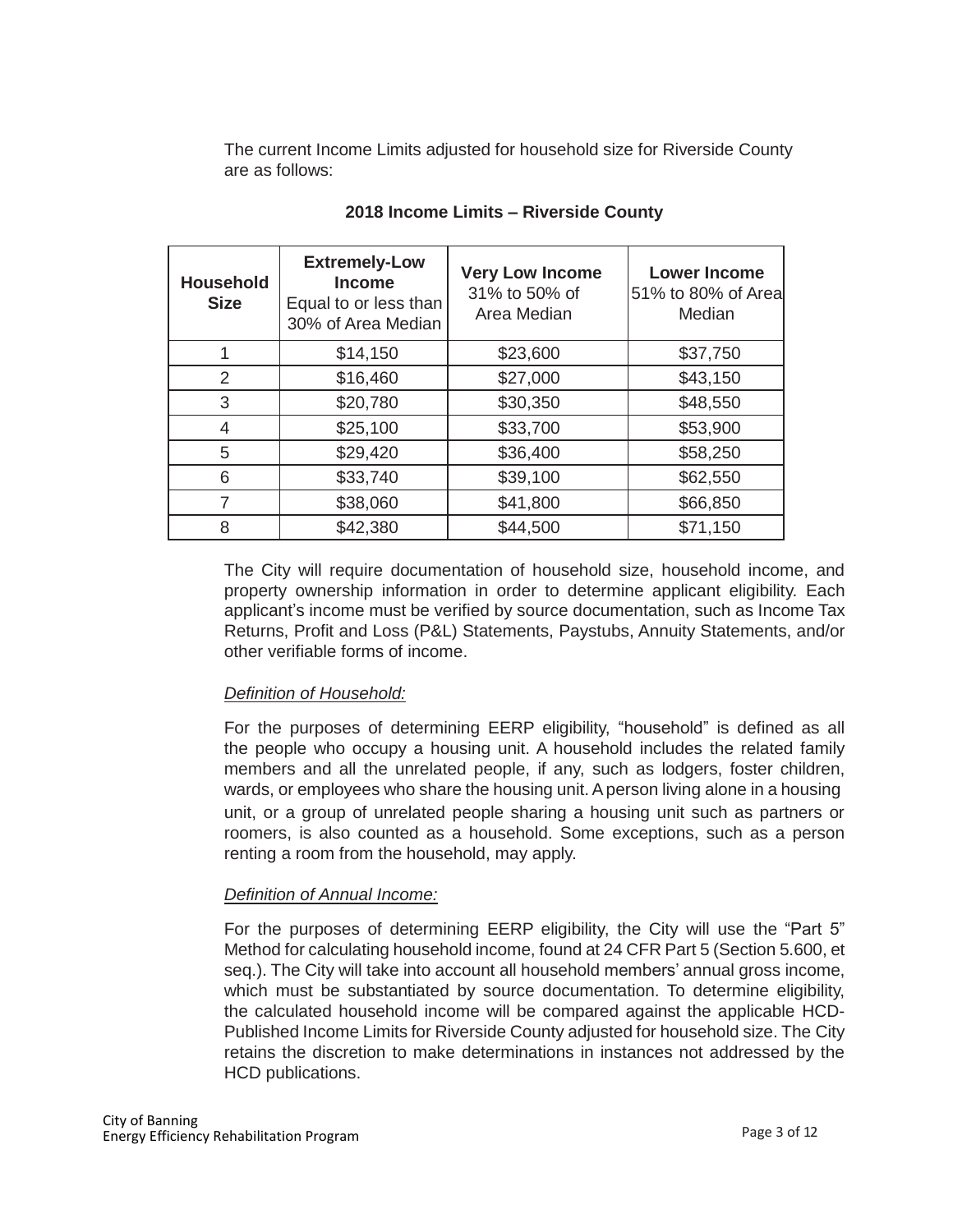The current Income Limits adjusted for household size for Riverside County are as follows:

| <b>Household</b><br><b>Size</b> | <b>Extremely-Low</b><br><b>Income</b><br>Equal to or less than<br>30% of Area Median | <b>Very Low Income</b><br>31% to 50% of<br>Area Median | <b>Lower Income</b><br>51% to 80% of Area<br>Median |
|---------------------------------|--------------------------------------------------------------------------------------|--------------------------------------------------------|-----------------------------------------------------|
|                                 | \$14,150                                                                             | \$23,600                                               | \$37,750                                            |
| 2                               | \$16,460                                                                             | \$27,000                                               | \$43,150                                            |
| 3                               | \$20,780                                                                             | \$30,350                                               | \$48,550                                            |
| 4                               | \$25,100                                                                             | \$33,700                                               | \$53,900                                            |
| 5                               | \$29,420                                                                             | \$36,400                                               | \$58,250                                            |
| 6                               | \$33,740                                                                             | \$39,100                                               | \$62,550                                            |
|                                 | \$38,060                                                                             | \$41,800                                               | \$66,850                                            |
| 8                               | \$42,380                                                                             | \$44,500                                               | \$71,150                                            |

# **2018 Income Limits – Riverside County**

The City will require documentation of household size, household income, and property ownership information in order to determine applicant eligibility. Each applicant's income must be verified by source documentation, such as Income Tax Returns, Profit and Loss (P&L) Statements, Paystubs, Annuity Statements, and/or other verifiable forms of income.

# *Definition of Household:*

For the purposes of determining EERP eligibility, "household" is defined as all the people who occupy a housing unit. A household includes the related family members and all the unrelated people, if any, such as lodgers, foster children, wards, or employees who share the housing unit. Aperson living alone in a housing unit, or a group of unrelated people sharing a housing unit such as partners or roomers, is also counted as a household. Some exceptions, such as a person renting a room from the household, may apply.

# *Definition of Annual Income:*

For the purposes of determining EERP eligibility, the City will use the "Part 5" Method for calculating household income, found at 24 CFR Part 5 (Section 5.600, et seq.). The City will take into account all household members' annual gross income, which must be substantiated by source documentation. To determine eligibility, the calculated household income will be compared against the applicable HCD-Published Income Limits for Riverside County adjusted for household size. The City retains the discretion to make determinations in instances not addressed by the HCD publications.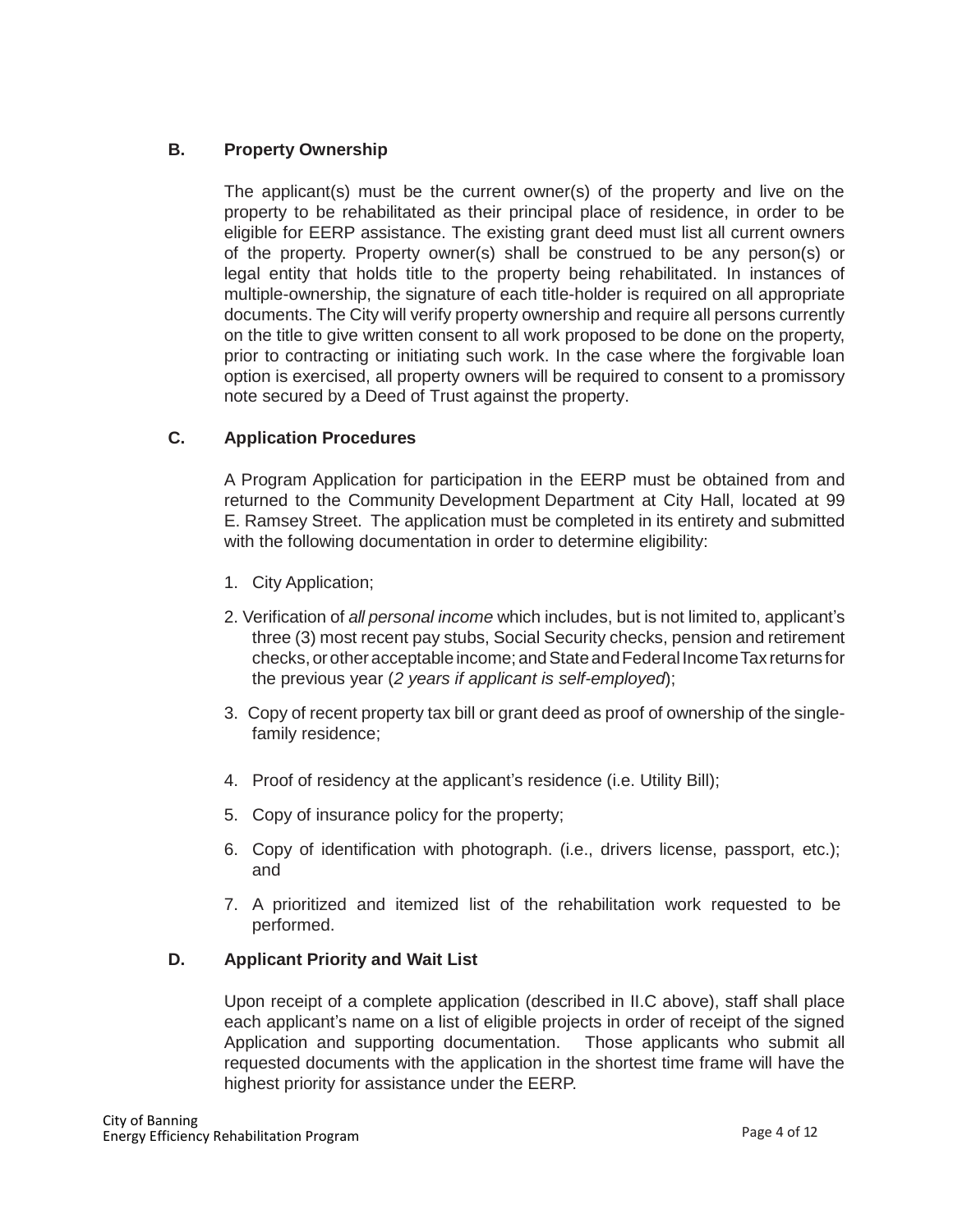# **B. Property Ownership**

The applicant(s) must be the current owner(s) of the property and live on the property to be rehabilitated as their principal place of residence, in order to be eligible for EERP assistance. The existing grant deed must list all current owners of the property. Property owner(s) shall be construed to be any person(s) or legal entity that holds title to the property being rehabilitated. In instances of multiple-ownership, the signature of each title-holder is required on all appropriate documents. The City will verify property ownership and require all persons currently on the title to give written consent to all work proposed to be done on the property, prior to contracting or initiating such work. In the case where the forgivable loan option is exercised, all property owners will be required to consent to a promissory note secured by a Deed of Trust against the property.

# **C. Application Procedures**

A Program Application for participation in the EERP must be obtained from and returned to the Community Development Department at City Hall, located at 99 E. Ramsey Street. The application must be completed in its entirety and submitted with the following documentation in order to determine eligibility:

- 1. City Application;
- 2. Verification of *all personal income* which includes, but is not limited to, applicant's three (3) most recent pay stubs, Social Security checks, pension and retirement checks, or other acceptable income; and State and Federal Income Tax returns for the previous year (*2 years if applicant is self-employed*);
- 3. Copy of recent property tax bill or grant deed as proof of ownership of the singlefamily residence;
- 4. Proof of residency at the applicant's residence (i.e. Utility Bill);
- 5. Copy of insurance policy for the property;
- 6. Copy of identification with photograph. (i.e., drivers license, passport, etc.); and
- 7. A prioritized and itemized list of the rehabilitation work requested to be performed.

# **D. Applicant Priority and Wait List**

Upon receipt of a complete application (described in II.C above), staff shall place each applicant's name on a list of eligible projects in order of receipt of the signed Application and supporting documentation. Those applicants who submit all requested documents with the application in the shortest time frame will have the highest priority for assistance under the EERP.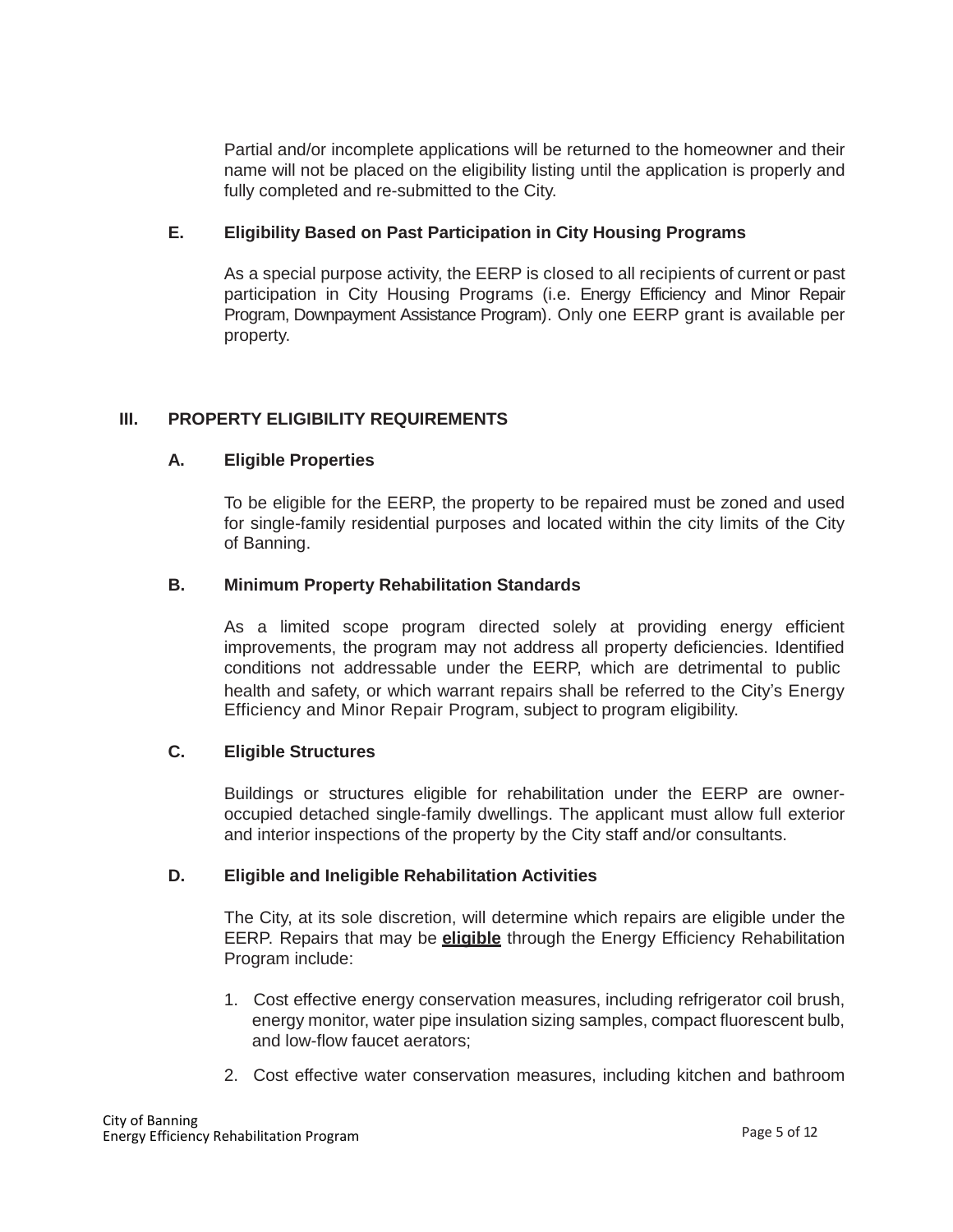Partial and/or incomplete applications will be returned to the homeowner and their name will not be placed on the eligibility listing until the application is properly and fully completed and re-submitted to the City.

## **E. Eligibility Based on Past Participation in City Housing Programs**

As a special purpose activity, the EERP is closed to all recipients of current or past participation in City Housing Programs (i.e. Energy Efficiency and Minor Repair Program, Downpayment Assistance Program). Only one EERP grant is available per property.

## **III. PROPERTY ELIGIBILITY REQUIREMENTS**

## **A. Eligible Properties**

To be eligible for the EERP, the property to be repaired must be zoned and used for single-family residential purposes and located within the city limits of the City of Banning.

## **B. Minimum Property Rehabilitation Standards**

As a limited scope program directed solely at providing energy efficient improvements, the program may not address all property deficiencies. Identified conditions not addressable under the EERP, which are detrimental to public health and safety, or which warrant repairs shall be referred to the City's Energy Efficiency and Minor Repair Program, subject to program eligibility.

## **C. Eligible Structures**

Buildings or structures eligible for rehabilitation under the EERP are owneroccupied detached single-family dwellings. The applicant must allow full exterior and interior inspections of the property by the City staff and/or consultants.

## **D. Eligible and Ineligible Rehabilitation Activities**

The City, at its sole discretion, will determine which repairs are eligible under the EERP. Repairs that may be **eligible** through the Energy Efficiency Rehabilitation Program include:

- 1. Cost effective energy conservation measures, including refrigerator coil brush, energy monitor, water pipe insulation sizing samples, compact fluorescent bulb, and low-flow faucet aerators;
- 2. Cost effective water conservation measures, including kitchen and bathroom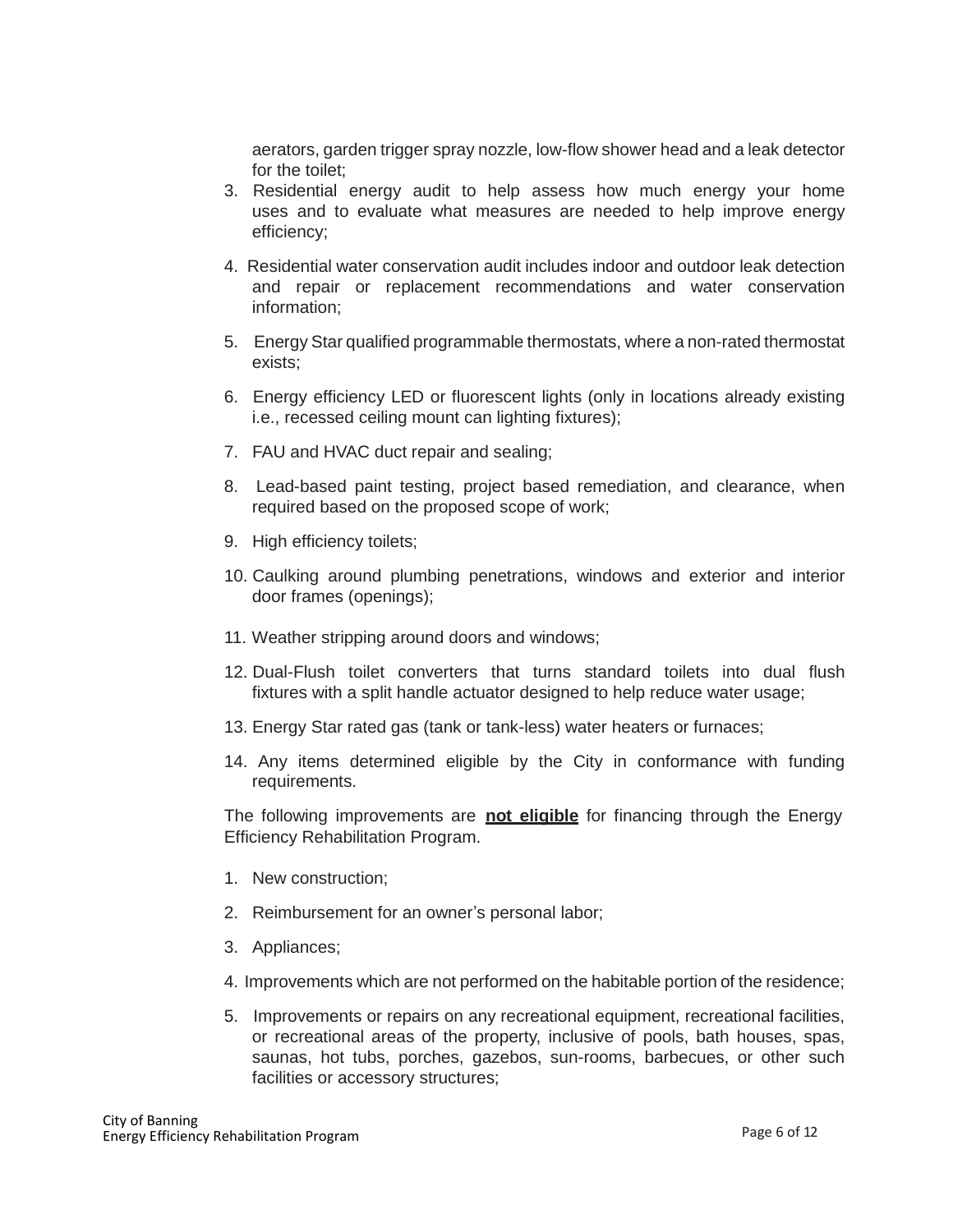aerators, garden trigger spray nozzle, low-flow shower head and a leak detector for the toilet;

- 3. Residential energy audit to help assess how much energy your home uses and to evaluate what measures are needed to help improve energy efficiency;
- 4. Residential water conservation audit includes indoor and outdoor leak detection and repair or replacement recommendations and water conservation information;
- 5. Energy Star qualified programmable thermostats, where a non-rated thermostat exists;
- 6. Energy efficiency LED or fluorescent lights (only in locations already existing i.e., recessed ceiling mount can lighting fixtures);
- 7. FAU and HVAC duct repair and sealing;
- 8. Lead-based paint testing, project based remediation, and clearance, when required based on the proposed scope of work;
- 9. High efficiency toilets:
- 10. Caulking around plumbing penetrations, windows and exterior and interior door frames (openings);
- 11. Weather stripping around doors and windows;
- 12. Dual-Flush toilet converters that turns standard toilets into dual flush fixtures with a split handle actuator designed to help reduce water usage;
- 13. Energy Star rated gas (tank or tank-less) water heaters or furnaces;
- 14. Any items determined eligible by the City in conformance with funding requirements.

The following improvements are **not eligible** for financing through the Energy Efficiency Rehabilitation Program.

- 1. New construction;
- 2. Reimbursement for an owner's personal labor;
- 3. Appliances;
- 4. Improvements which are not performed on the habitable portion of the residence;
- 5. Improvements or repairs on any recreational equipment, recreational facilities, or recreational areas of the property, inclusive of pools, bath houses, spas, saunas, hot tubs, porches, gazebos, sun-rooms, barbecues, or other such facilities or accessory structures;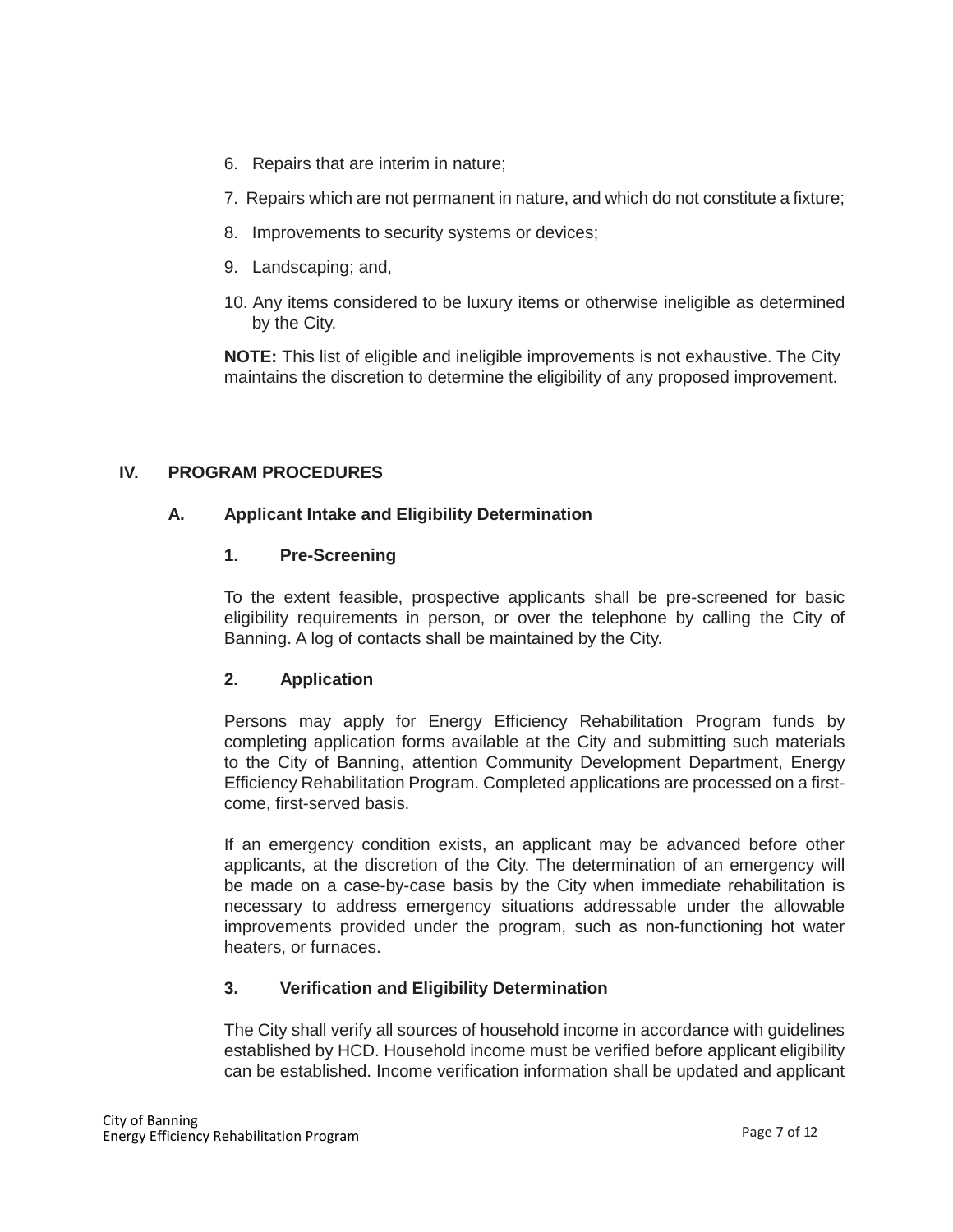- 6. Repairs that are interim in nature;
- 7. Repairs which are not permanent in nature, and which do not constitute a fixture;
- 8. Improvements to security systems or devices;
- 9. Landscaping; and,
- 10. Any items considered to be luxury items or otherwise ineligible as determined by the City.

**NOTE:** This list of eligible and ineligible improvements is not exhaustive. The City maintains the discretion to determine the eligibility of any proposed improvement.

## **IV. PROGRAM PROCEDURES**

## **A. Applicant Intake and Eligibility Determination**

## **1. Pre-Screening**

To the extent feasible, prospective applicants shall be pre-screened for basic eligibility requirements in person, or over the telephone by calling the City of Banning. A log of contacts shall be maintained by the City.

# **2. Application**

Persons may apply for Energy Efficiency Rehabilitation Program funds by completing application forms available at the City and submitting such materials to the City of Banning, attention Community Development Department, Energy Efficiency Rehabilitation Program. Completed applications are processed on a firstcome, first-served basis.

If an emergency condition exists, an applicant may be advanced before other applicants, at the discretion of the City. The determination of an emergency will be made on a case-by-case basis by the City when immediate rehabilitation is necessary to address emergency situations addressable under the allowable improvements provided under the program, such as non-functioning hot water heaters, or furnaces.

# **3. Verification and Eligibility Determination**

The City shall verify all sources of household income in accordance with guidelines established by HCD. Household income must be verified before applicant eligibility can be established. Income verification information shall be updated and applicant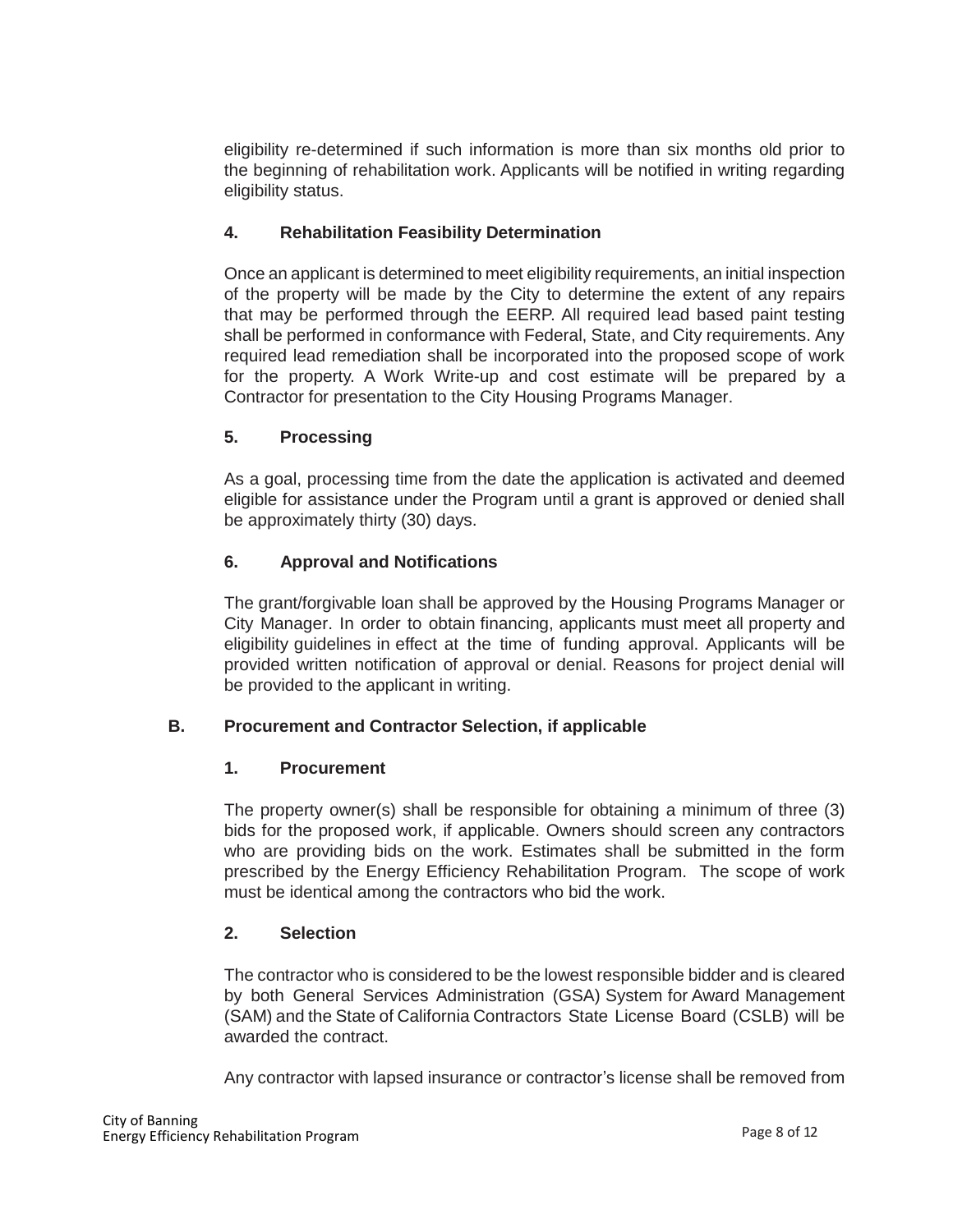eligibility re-determined if such information is more than six months old prior to the beginning of rehabilitation work. Applicants will be notified in writing regarding eligibility status.

# **4. Rehabilitation Feasibility Determination**

Once an applicant is determined to meet eligibility requirements, an initial inspection of the property will be made by the City to determine the extent of any repairs that may be performed through the EERP. All required lead based paint testing shall be performed in conformance with Federal, State, and City requirements. Any required lead remediation shall be incorporated into the proposed scope of work for the property. A Work Write-up and cost estimate will be prepared by a Contractor for presentation to the City Housing Programs Manager.

# **5. Processing**

As a goal, processing time from the date the application is activated and deemed eligible for assistance under the Program until a grant is approved or denied shall be approximately thirty (30) days.

# **6. Approval and Notifications**

The grant/forgivable loan shall be approved by the Housing Programs Manager or City Manager. In order to obtain financing, applicants must meet all property and eligibility guidelines in effect at the time of funding approval. Applicants will be provided written notification of approval or denial. Reasons for project denial will be provided to the applicant in writing.

# **B. Procurement and Contractor Selection, if applicable**

## **1. Procurement**

The property owner(s) shall be responsible for obtaining a minimum of three (3) bids for the proposed work, if applicable. Owners should screen any contractors who are providing bids on the work. Estimates shall be submitted in the form prescribed by the Energy Efficiency Rehabilitation Program. The scope of work must be identical among the contractors who bid the work.

# **2. Selection**

The contractor who is considered to be the lowest responsible bidder and is cleared by both General Services Administration (GSA) System for Award Management (SAM) and the State of California Contractors State License Board (CSLB) will be awarded the contract.

Any contractor with lapsed insurance or contractor's license shall be removed from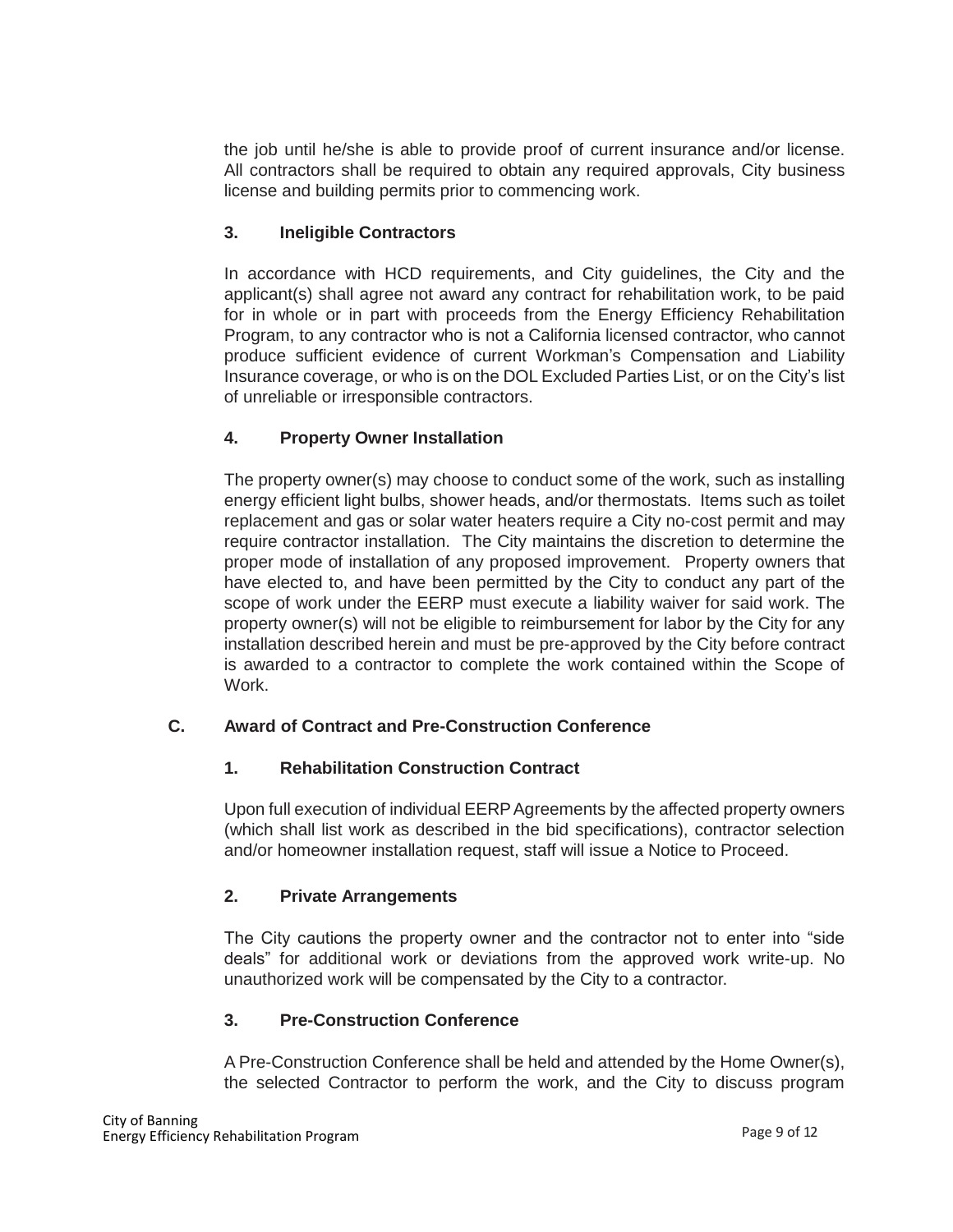the job until he/she is able to provide proof of current insurance and/or license. All contractors shall be required to obtain any required approvals, City business license and building permits prior to commencing work.

# **3. Ineligible Contractors**

In accordance with HCD requirements, and City guidelines, the City and the applicant(s) shall agree not award any contract for rehabilitation work, to be paid for in whole or in part with proceeds from the Energy Efficiency Rehabilitation Program, to any contractor who is not a California licensed contractor, who cannot produce sufficient evidence of current Workman's Compensation and Liability Insurance coverage, or who is on the DOL Excluded Parties List, or on the City's list of unreliable or irresponsible contractors.

# **4. Property Owner Installation**

The property owner(s) may choose to conduct some of the work, such as installing energy efficient light bulbs, shower heads, and/or thermostats. Items such as toilet replacement and gas or solar water heaters require a City no-cost permit and may require contractor installation. The City maintains the discretion to determine the proper mode of installation of any proposed improvement. Property owners that have elected to, and have been permitted by the City to conduct any part of the scope of work under the EERP must execute a liability waiver for said work. The property owner(s) will not be eligible to reimbursement for labor by the City for any installation described herein and must be pre-approved by the City before contract is awarded to a contractor to complete the work contained within the Scope of Work.

# **C. Award of Contract and Pre-Construction Conference**

# **1. Rehabilitation Construction Contract**

Upon full execution of individual EERPAgreements by the affected property owners (which shall list work as described in the bid specifications), contractor selection and/or homeowner installation request, staff will issue a Notice to Proceed.

# **2. Private Arrangements**

The City cautions the property owner and the contractor not to enter into "side deals" for additional work or deviations from the approved work write-up. No unauthorized work will be compensated by the City to a contractor.

# **3. Pre-Construction Conference**

A Pre-Construction Conference shall be held and attended by the Home Owner(s), the selected Contractor to perform the work, and the City to discuss program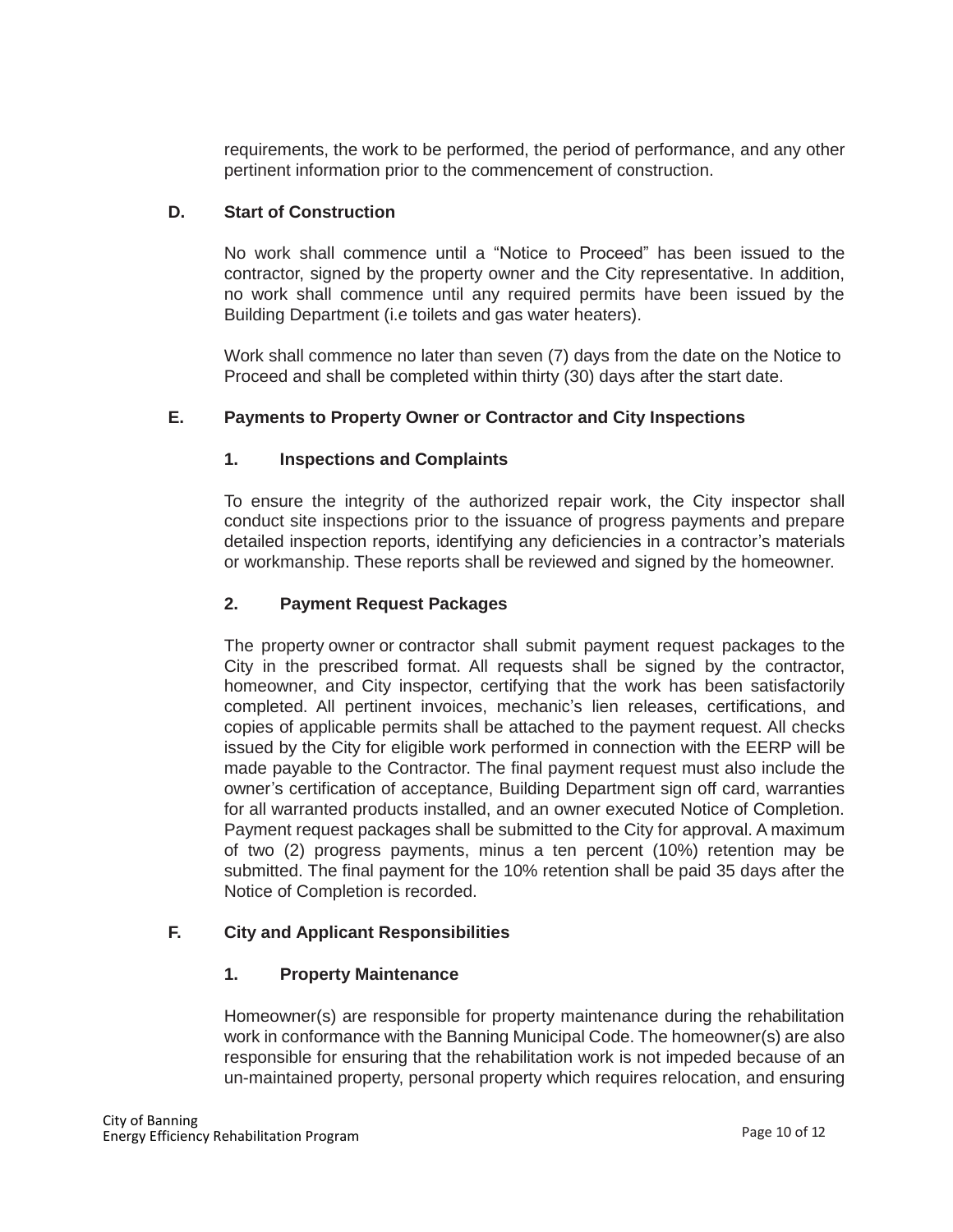requirements, the work to be performed, the period of performance, and any other pertinent information prior to the commencement of construction.

## **D. Start of Construction**

No work shall commence until a "Notice to Proceed" has been issued to the contractor, signed by the property owner and the City representative. In addition, no work shall commence until any required permits have been issued by the Building Department (i.e toilets and gas water heaters).

Work shall commence no later than seven (7) days from the date on the Notice to Proceed and shall be completed within thirty (30) days after the start date.

# **E. Payments to Property Owner or Contractor and City Inspections**

## **1. Inspections and Complaints**

To ensure the integrity of the authorized repair work, the City inspector shall conduct site inspections prior to the issuance of progress payments and prepare detailed inspection reports, identifying any deficiencies in a contractor's materials or workmanship. These reports shall be reviewed and signed by the homeowner.

## **2. Payment Request Packages**

The property owner or contractor shall submit payment request packages to the City in the prescribed format. All requests shall be signed by the contractor, homeowner, and City inspector, certifying that the work has been satisfactorily completed. All pertinent invoices, mechanic's lien releases, certifications, and copies of applicable permits shall be attached to the payment request. All checks issued by the City for eligible work performed in connection with the EERP will be made payable to the Contractor. The final payment request must also include the owner's certification of acceptance, Building Department sign off card, warranties for all warranted products installed, and an owner executed Notice of Completion. Payment request packages shall be submitted to the City for approval. A maximum of two (2) progress payments, minus a ten percent (10%) retention may be submitted. The final payment for the 10% retention shall be paid 35 days after the Notice of Completion is recorded.

# **F. City and Applicant Responsibilities**

## **1. Property Maintenance**

Homeowner(s) are responsible for property maintenance during the rehabilitation work in conformance with the Banning Municipal Code. The homeowner(s) are also responsible for ensuring that the rehabilitation work is not impeded because of an un-maintained property, personal property which requires relocation, and ensuring